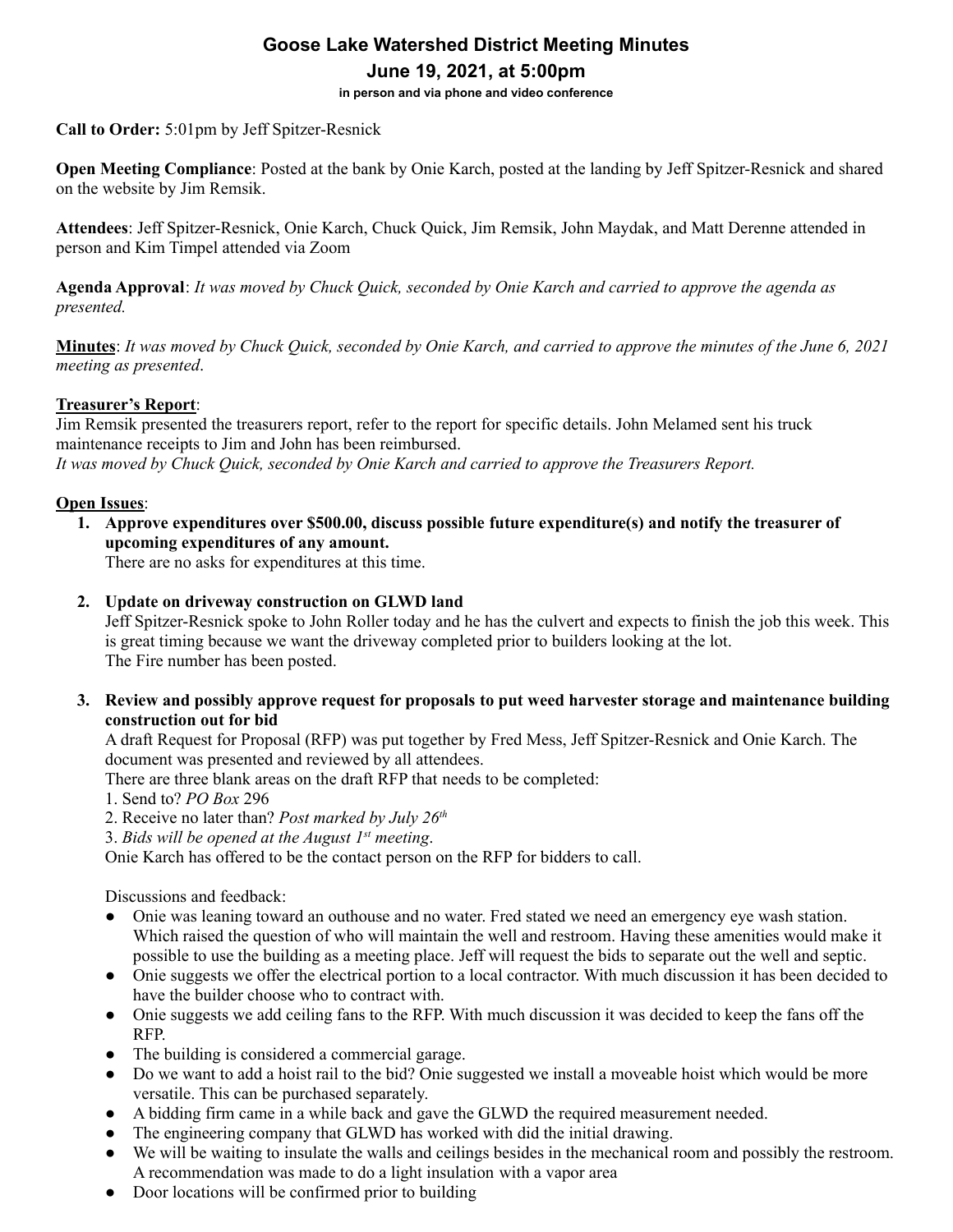# **Goose Lake Watershed District Meeting Minutes June 19, 2021, at 5:00pm**

**in person and via phone and video conference**

**Call to Order:** 5:01pm by Jeff Spitzer-Resnick

**Open Meeting Compliance**: Posted at the bank by Onie Karch, posted at the landing by Jeff Spitzer-Resnick and shared on the website by Jim Remsik.

**Attendees**: Jeff Spitzer-Resnick, Onie Karch, Chuck Quick, Jim Remsik, John Maydak, and Matt Derenne attended in person and Kim Timpel attended via Zoom

**Agenda Approval**: It was moved by Chuck Quick, seconded by Onie Karch and carried to approve the agenda as *presented.*

**Minutes**: It was moved by Chuck Quick, seconded by Onie Karch, and carried to approve the minutes of the June 6, 2021 *meeting as presented*.

# **Treasurer's Report**:

Jim Remsik presented the treasurers report, refer to the report for specific details. John Melamed sent his truck maintenance receipts to Jim and John has been reimbursed. *It was moved by Chuck Quick, seconded by Onie Karch and carried to approve the Treasurers Report.*

# **Open Issues**:

**1. Approve expenditures over \$500.00, discuss possible future expenditure(s) and notify the treasurer of upcoming expenditures of any amount.**

There are no asks for expenditures at this time.

## **2. Update on driveway construction on GLWD land**

Jeff Spitzer-Resnick spoke to John Roller today and he has the culvert and expects to finish the job this week. This is great timing because we want the driveway completed prior to builders looking at the lot. The Fire number has been posted.

**3. Review and possibly approve request for proposals to put weed harvester storage and maintenance building construction out for bid**

A draft Request for Proposal (RFP) was put together by Fred Mess, Jeff Spitzer-Resnick and Onie Karch. The document was presented and reviewed by all attendees.

There are three blank areas on the draft RFP that needs to be completed:

- 1. Send to? *PO Box* 296
- 2. Receive no later than? *Post marked by July 26 th*
- 3. *Bids will be opened at the August 1 st meeting*.

Onie Karch has offered to be the contact person on the RFP for bidders to call.

Discussions and feedback:

- Onie was leaning toward an outhouse and no water. Fred stated we need an emergency eye wash station. Which raised the question of who will maintain the well and restroom. Having these amenities would make it possible to use the building as a meeting place. Jeff will request the bids to separate out the well and septic.
- Onie suggests we offer the electrical portion to a local contractor. With much discussion it has been decided to have the builder choose who to contract with.
- Onie suggests we add ceiling fans to the RFP. With much discussion it was decided to keep the fans off the RFP.
- The building is considered a commercial garage.
- Do we want to add a hoist rail to the bid? Onie suggested we install a moveable hoist which would be more versatile. This can be purchased separately.
- A bidding firm came in a while back and gave the GLWD the required measurement needed.
- The engineering company that GLWD has worked with did the initial drawing.
- We will be waiting to insulate the walls and ceilings besides in the mechanical room and possibly the restroom. A recommendation was made to do a light insulation with a vapor area
- Door locations will be confirmed prior to building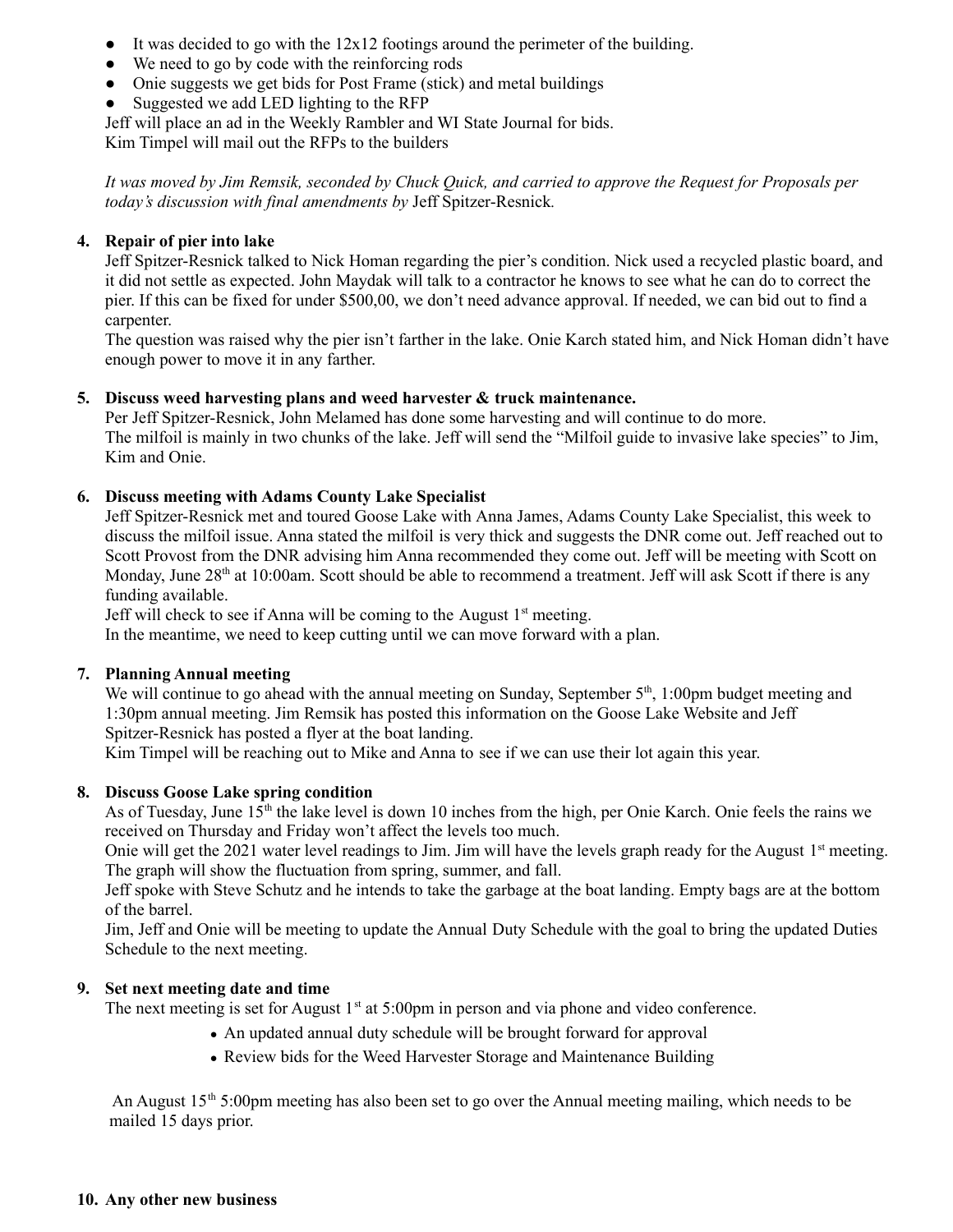- $\bullet$  It was decided to go with the 12x12 footings around the perimeter of the building.
- We need to go by code with the reinforcing rods
- Onie suggests we get bids for Post Frame (stick) and metal buildings
- Suggested we add LED lighting to the RFP

Jeff will place an ad in the Weekly Rambler and WI State Journal for bids.

Kim Timpel will mail out the RFPs to the builders

It was moved by Jim Remsik, seconded by Chuck Quick, and carried to approve the Request for Proposals per *today's discussion with final amendments by* Jeff Spitzer-Resnick*.*

# **4. Repair of pier into lake**

Jeff Spitzer-Resnick talked to Nick Homan regarding the pier's condition. Nick used a recycled plastic board, and it did not settle as expected. John Maydak will talk to a contractor he knows to see what he can do to correct the pier. If this can be fixed for under \$500,00, we don't need advance approval. If needed, we can bid out to find a carpenter.

The question was raised why the pier isn't farther in the lake. Onie Karch stated him, and Nick Homan didn't have enough power to move it in any farther.

## **5. Discuss weed harvesting plans and weed harvester & truck maintenance.**

Per Jeff Spitzer-Resnick, John Melamed has done some harvesting and will continue to do more. The milfoil is mainly in two chunks of the lake. Jeff will send the "Milfoil guide to invasive lake species" to Jim, Kim and Onie.

## **6. Discuss meeting with Adams County Lake Specialist**

Jeff Spitzer-Resnick met and toured Goose Lake with Anna James, Adams County Lake Specialist, this week to discuss the milfoil issue. Anna stated the milfoil is very thick and suggests the DNR come out. Jeff reached out to Scott Provost from the DNR advising him Anna recommended they come out. Jeff will be meeting with Scott on Monday, June 28<sup>th</sup> at 10:00am. Scott should be able to recommend a treatment. Jeff will ask Scott if there is any funding available.

Jeff will check to see if Anna will be coming to the August  $1<sup>st</sup>$  meeting.

In the meantime, we need to keep cutting until we can move forward with a plan.

#### **7. Planning Annual meeting**

We will continue to go ahead with the annual meeting on Sunday, September  $5<sup>th</sup>$ , 1:00pm budget meeting and 1:30pm annual meeting. Jim Remsik has posted this information on the Goose Lake Website and Jeff Spitzer-Resnick has posted a flyer at the boat landing.

Kim Timpel will be reaching out to Mike and Anna to see if we can use their lot again this year.

#### **8. Discuss Goose Lake spring condition**

As of Tuesday, June 15<sup>th</sup> the lake level is down 10 inches from the high, per Onie Karch. Onie feels the rains we received on Thursday and Friday won't affect the levels too much.

Onie will get the 2021 water level readings to Jim. Jim will have the levels graph ready for the August 1<sup>st</sup> meeting. The graph will show the fluctuation from spring, summer, and fall.

Jeff spoke with Steve Schutz and he intends to take the garbage at the boat landing. Empty bags are at the bottom of the barrel.

Jim, Jeff and Onie will be meeting to update the Annual Duty Schedule with the goal to bring the updated Duties Schedule to the next meeting.

#### **9. Set next meeting date and time**

The next meeting is set for August  $1<sup>st</sup>$  at 5:00pm in person and via phone and video conference.

- An updated annual duty schedule will be brought forward for approval
- Review bids for the Weed Harvester Storage and Maintenance Building

An August 15<sup>th</sup> 5:00pm meeting has also been set to go over the Annual meeting mailing, which needs to be mailed 15 days prior.